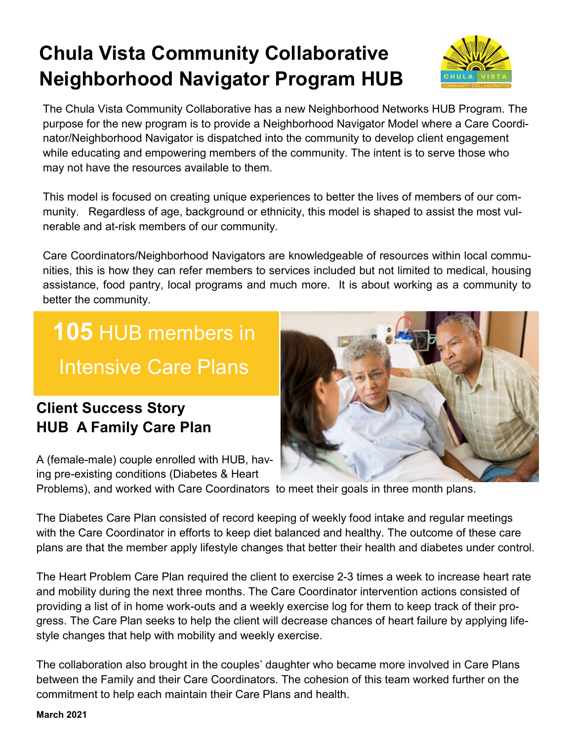# **Chula Vista Community Collaborative Neighborhood Navigator Program HUB**



The Chula Vista Community Collaborative has a new Neighborhood Networks HUB Program. The purpose for the new program is to provide a Neighborhood Navigator Model where a Care Coordinator/Neighborhood Navigator is dispatched into the community to develop client engagement while educating and empowering members of the community. The intent is to serve those who may not have the resources available to them.

This model is focused on creating unique experiences to better the lives of members of our community. Regardless of age, background or ethnicity, this model is shaped to assist the most vulnerable and at-risk members of our community.

Care Coordinators/Neighborhood Navigators are knowledgeable of resources within local communities, this is how they can refer members to services included but not limited to medical, housing assistance, food pantry, local programs and much more. It is about working as a community to better the community.

**105** HUB members in Intensive Care Plans

### **Client Success Story HUB A Family Care Plan**

A (female-male) couple enrolled with HUB, having pre-existing conditions (Diabetes & Heart

Problems), and worked with Care Coordinators to meet their goals in three month plans.

The Diabetes Care Plan consisted of record keeping of weekly food intake and regular meetings with the Care Coordinator in efforts to keep diet balanced and healthy. The outcome of these care plans are that the member apply lifestyle changes that better their health and diabetes under control.

The Heart Problem Care Plan required the client to exercise 2-3 times a week to increase heart rate and mobility during the next three months. The Care Coordinator intervention actions consisted of providing a list of in home work-outs and a weekly exercise log for them to keep track of their progress. The Care Plan seeks to help the client will decrease chances of heart failure by applying lifestyle changes that help with mobility and weekly exercise.

The collaboration also brought in the couples' daughter who became more involved in Care Plans between the Family and their Care Coordinators. The cohesion of this team worked further on the commitment to help each maintain their Care Plans and health.